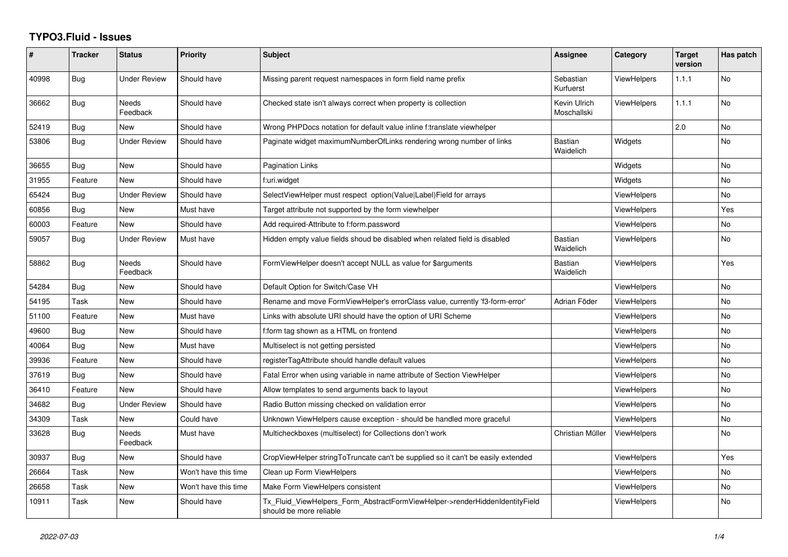## **TYPO3.Fluid - Issues**

| #     | <b>Tracker</b> | <b>Status</b>            | <b>Priority</b>      | Subject                                                                                                | Assignee                    | Category           | <b>Target</b><br>version | Has patch      |
|-------|----------------|--------------------------|----------------------|--------------------------------------------------------------------------------------------------------|-----------------------------|--------------------|--------------------------|----------------|
| 40998 | <b>Bug</b>     | <b>Under Review</b>      | Should have          | Missing parent request namespaces in form field name prefix                                            | Sebastian<br>Kurfuerst      | <b>ViewHelpers</b> | 1.1.1                    | <b>No</b>      |
| 36662 | <b>Bug</b>     | <b>Needs</b><br>Feedback | Should have          | Checked state isn't always correct when property is collection                                         | Kevin Ulrich<br>Moschallski | <b>ViewHelpers</b> | 1.1.1                    | N <sub>o</sub> |
| 52419 | <b>Bug</b>     | <b>New</b>               | Should have          | Wrong PHPDocs notation for default value inline f:translate viewhelper                                 |                             |                    | 2.0                      | No             |
| 53806 | Bug            | <b>Under Review</b>      | Should have          | Paginate widget maximumNumberOfLinks rendering wrong number of links                                   | Bastian<br>Waidelich        | Widgets            |                          | No             |
| 36655 | Bug            | <b>New</b>               | Should have          | Pagination Links                                                                                       |                             | Widgets            |                          | No             |
| 31955 | Feature        | New                      | Should have          | f:uri.widget                                                                                           |                             | Widgets            |                          | No             |
| 65424 | Bug            | <b>Under Review</b>      | Should have          | SelectViewHelper must respect option(Value Label)Field for arrays                                      |                             | ViewHelpers        |                          | No             |
| 60856 | Bug            | New                      | Must have            | Target attribute not supported by the form viewhelper                                                  |                             | <b>ViewHelpers</b> |                          | Yes            |
| 60003 | Feature        | New                      | Should have          | Add required-Attribute to f:form.password                                                              |                             | <b>ViewHelpers</b> |                          | No             |
| 59057 | Bug            | <b>Under Review</b>      | Must have            | Hidden empty value fields shoud be disabled when related field is disabled                             | <b>Bastian</b><br>Waidelich | ViewHelpers        |                          | No             |
| 58862 | Bug            | Needs<br>Feedback        | Should have          | FormViewHelper doesn't accept NULL as value for \$arguments                                            | <b>Bastian</b><br>Waidelich | <b>ViewHelpers</b> |                          | Yes            |
| 54284 | Bug            | <b>New</b>               | Should have          | Default Option for Switch/Case VH                                                                      |                             | <b>ViewHelpers</b> |                          | No             |
| 54195 | Task           | New                      | Should have          | Rename and move FormViewHelper's errorClass value, currently 'f3-form-error'                           | Adrian Föder                | <b>ViewHelpers</b> |                          | No             |
| 51100 | Feature        | <b>New</b>               | Must have            | Links with absolute URI should have the option of URI Scheme                                           |                             | <b>ViewHelpers</b> |                          | No             |
| 49600 | Bug            | New                      | Should have          | f:form tag shown as a HTML on frontend                                                                 |                             | <b>ViewHelpers</b> |                          | No             |
| 40064 | Bug            | New                      | Must have            | Multiselect is not getting persisted                                                                   |                             | ViewHelpers        |                          | No             |
| 39936 | Feature        | New                      | Should have          | registerTagAttribute should handle default values                                                      |                             | ViewHelpers        |                          | No             |
| 37619 | Bug            | New                      | Should have          | Fatal Error when using variable in name attribute of Section ViewHelper                                |                             | <b>ViewHelpers</b> |                          | No             |
| 36410 | Feature        | <b>New</b>               | Should have          | Allow templates to send arguments back to layout                                                       |                             | ViewHelpers        |                          | No             |
| 34682 | <b>Bug</b>     | <b>Under Review</b>      | Should have          | Radio Button missing checked on validation error                                                       |                             | <b>ViewHelpers</b> |                          | No             |
| 34309 | Task           | New                      | Could have           | Unknown ViewHelpers cause exception - should be handled more graceful                                  |                             | <b>ViewHelpers</b> |                          | No             |
| 33628 | Bug            | Needs<br>Feedback        | Must have            | Multicheckboxes (multiselect) for Collections don't work                                               | Christian Müller            | <b>ViewHelpers</b> |                          | No             |
| 30937 | Bug            | New                      | Should have          | CropViewHelper stringToTruncate can't be supplied so it can't be easily extended                       |                             | <b>ViewHelpers</b> |                          | Yes            |
| 26664 | Task           | New                      | Won't have this time | Clean up Form ViewHelpers                                                                              |                             | <b>ViewHelpers</b> |                          | No             |
| 26658 | Task           | New                      | Won't have this time | Make Form ViewHelpers consistent                                                                       |                             | <b>ViewHelpers</b> |                          | No             |
| 10911 | Task           | New                      | Should have          | Tx Fluid ViewHelpers Form AbstractFormViewHelper->renderHiddenIdentityField<br>should be more reliable |                             | <b>ViewHelpers</b> |                          | No             |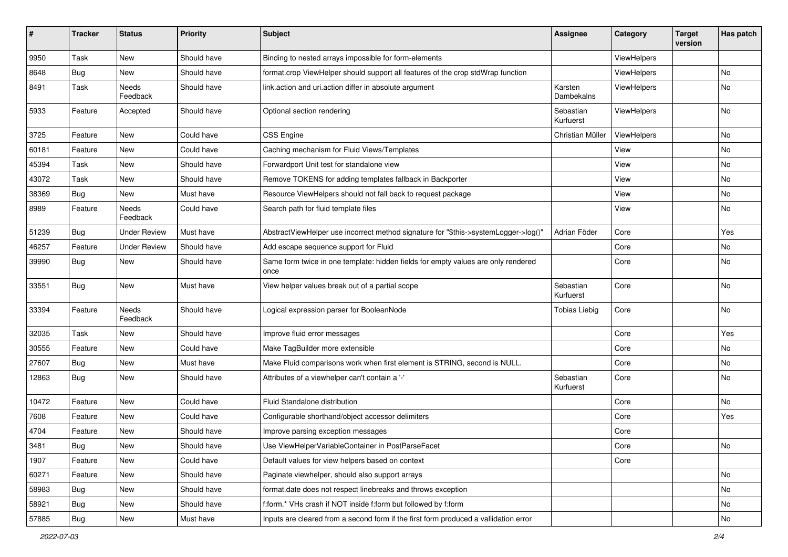| #     | <b>Tracker</b> | <b>Status</b>       | <b>Priority</b> | Subject                                                                                   | Assignee               | Category    | <b>Target</b><br>version | Has patch                    |
|-------|----------------|---------------------|-----------------|-------------------------------------------------------------------------------------------|------------------------|-------------|--------------------------|------------------------------|
| 9950  | Task           | New                 | Should have     | Binding to nested arrays impossible for form-elements                                     |                        | ViewHelpers |                          |                              |
| 8648  | Bug            | New                 | Should have     | format.crop ViewHelper should support all features of the crop stdWrap function           |                        | ViewHelpers |                          | No                           |
| 8491  | Task           | Needs<br>Feedback   | Should have     | link.action and uri.action differ in absolute argument                                    | Karsten<br>Dambekalns  | ViewHelpers |                          | No                           |
| 5933  | Feature        | Accepted            | Should have     | Optional section rendering                                                                | Sebastian<br>Kurfuerst | ViewHelpers |                          | No                           |
| 3725  | Feature        | New                 | Could have      | <b>CSS Engine</b>                                                                         | Christian Müller       | ViewHelpers |                          | No                           |
| 60181 | Feature        | New                 | Could have      | Caching mechanism for Fluid Views/Templates                                               |                        | View        |                          | No                           |
| 45394 | Task           | New                 | Should have     | Forwardport Unit test for standalone view                                                 |                        | View        |                          | No                           |
| 43072 | Task           | New                 | Should have     | Remove TOKENS for adding templates fallback in Backporter                                 |                        | View        |                          | No                           |
| 38369 | Bug            | New                 | Must have       | Resource ViewHelpers should not fall back to request package                              |                        | View        |                          | No                           |
| 8989  | Feature        | Needs<br>Feedback   | Could have      | Search path for fluid template files                                                      |                        | View        |                          | No                           |
| 51239 | Bug            | <b>Under Review</b> | Must have       | AbstractViewHelper use incorrect method signature for "\$this->systemLogger->log()"       | Adrian Föder           | Core        |                          | Yes                          |
| 46257 | Feature        | <b>Under Review</b> | Should have     | Add escape sequence support for Fluid                                                     |                        | Core        |                          | No                           |
| 39990 | Bug            | New                 | Should have     | Same form twice in one template: hidden fields for empty values are only rendered<br>once |                        | Core        |                          | No                           |
| 33551 | Bug            | New                 | Must have       | View helper values break out of a partial scope                                           | Sebastian<br>Kurfuerst | Core        |                          | No                           |
| 33394 | Feature        | Needs<br>Feedback   | Should have     | Logical expression parser for BooleanNode                                                 | <b>Tobias Liebig</b>   | Core        |                          | No                           |
| 32035 | Task           | New                 | Should have     | Improve fluid error messages                                                              |                        | Core        |                          | Yes                          |
| 30555 | Feature        | New                 | Could have      | Make TagBuilder more extensible                                                           |                        | Core        |                          | No                           |
| 27607 | Bug            | New                 | Must have       | Make Fluid comparisons work when first element is STRING, second is NULL.                 |                        | Core        |                          | No                           |
| 12863 | Bug            | New                 | Should have     | Attributes of a viewhelper can't contain a '-'                                            | Sebastian<br>Kurfuerst | Core        |                          | No                           |
| 10472 | Feature        | New                 | Could have      | Fluid Standalone distribution                                                             |                        | Core        |                          | No                           |
| 7608  | Feature        | New                 | Could have      | Configurable shorthand/object accessor delimiters                                         |                        | Core        |                          | Yes                          |
| 4704  | Feature        | New                 | Should have     | Improve parsing exception messages                                                        |                        | Core        |                          |                              |
| 3481  | Bug            | New                 | Should have     | Use ViewHelperVariableContainer in PostParseFacet                                         |                        | Core        |                          | $\operatorname{\mathsf{No}}$ |
| 1907  | Feature        | New                 | Could have      | Default values for view helpers based on context                                          |                        | Core        |                          |                              |
| 60271 | Feature        | New                 | Should have     | Paginate viewhelper, should also support arrays                                           |                        |             |                          | No                           |
| 58983 | Bug            | New                 | Should have     | format.date does not respect linebreaks and throws exception                              |                        |             |                          | No                           |
| 58921 | Bug            | New                 | Should have     | f:form.* VHs crash if NOT inside f:form but followed by f:form                            |                        |             |                          | No                           |
| 57885 | <b>Bug</b>     | New                 | Must have       | Inputs are cleared from a second form if the first form produced a vallidation error      |                        |             |                          | No                           |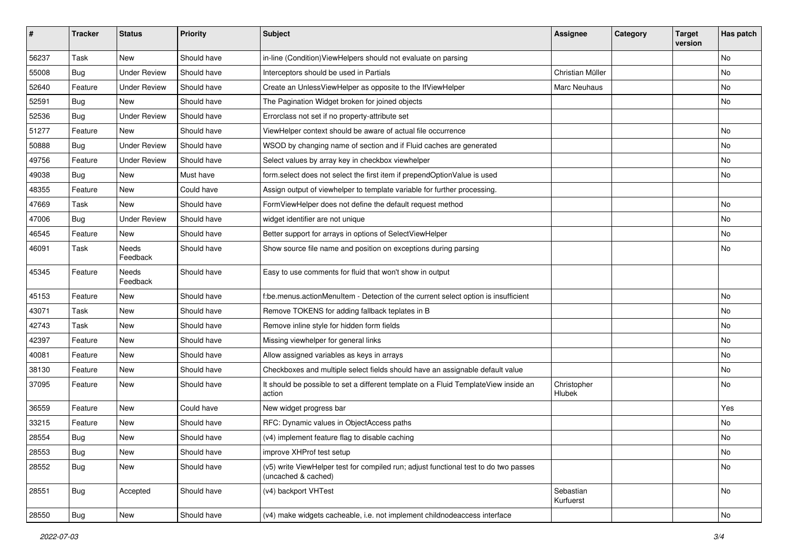| #     | <b>Tracker</b> | <b>Status</b>            | <b>Priority</b> | <b>Subject</b>                                                                                              | <b>Assignee</b>        | Category | <b>Target</b><br>version | Has patch |
|-------|----------------|--------------------------|-----------------|-------------------------------------------------------------------------------------------------------------|------------------------|----------|--------------------------|-----------|
| 56237 | Task           | New                      | Should have     | in-line (Condition) ViewHelpers should not evaluate on parsing                                              |                        |          |                          | <b>No</b> |
| 55008 | Bug            | <b>Under Review</b>      | Should have     | Interceptors should be used in Partials                                                                     | Christian Müller       |          |                          | No        |
| 52640 | Feature        | <b>Under Review</b>      | Should have     | Create an UnlessViewHelper as opposite to the IfViewHelper                                                  | Marc Neuhaus           |          |                          | No        |
| 52591 | Bug            | New                      | Should have     | The Pagination Widget broken for joined objects                                                             |                        |          |                          | No        |
| 52536 | Bug            | <b>Under Review</b>      | Should have     | Errorclass not set if no property-attribute set                                                             |                        |          |                          |           |
| 51277 | Feature        | New                      | Should have     | ViewHelper context should be aware of actual file occurrence                                                |                        |          |                          | No        |
| 50888 | Bug            | <b>Under Review</b>      | Should have     | WSOD by changing name of section and if Fluid caches are generated                                          |                        |          |                          | No        |
| 49756 | Feature        | <b>Under Review</b>      | Should have     | Select values by array key in checkbox viewhelper                                                           |                        |          |                          | No        |
| 49038 | Bug            | New                      | Must have       | form.select does not select the first item if prependOptionValue is used                                    |                        |          |                          | No        |
| 48355 | Feature        | New                      | Could have      | Assign output of viewhelper to template variable for further processing.                                    |                        |          |                          |           |
| 47669 | Task           | New                      | Should have     | FormViewHelper does not define the default request method                                                   |                        |          |                          | <b>No</b> |
| 47006 | Bug            | <b>Under Review</b>      | Should have     | widget identifier are not unique                                                                            |                        |          |                          | No        |
| 46545 | Feature        | New                      | Should have     | Better support for arrays in options of SelectViewHelper                                                    |                        |          |                          | No        |
| 46091 | Task           | <b>Needs</b><br>Feedback | Should have     | Show source file name and position on exceptions during parsing                                             |                        |          |                          | No        |
| 45345 | Feature        | Needs<br>Feedback        | Should have     | Easy to use comments for fluid that won't show in output                                                    |                        |          |                          |           |
| 45153 | Feature        | New                      | Should have     | f:be.menus.actionMenuItem - Detection of the current select option is insufficient                          |                        |          |                          | No        |
| 43071 | Task           | New                      | Should have     | Remove TOKENS for adding fallback teplates in B                                                             |                        |          |                          | No        |
| 42743 | Task           | New                      | Should have     | Remove inline style for hidden form fields                                                                  |                        |          |                          | No        |
| 42397 | Feature        | New                      | Should have     | Missing viewhelper for general links                                                                        |                        |          |                          | No        |
| 40081 | Feature        | New                      | Should have     | Allow assigned variables as keys in arrays                                                                  |                        |          |                          | No        |
| 38130 | Feature        | New                      | Should have     | Checkboxes and multiple select fields should have an assignable default value                               |                        |          |                          | No        |
| 37095 | Feature        | New                      | Should have     | It should be possible to set a different template on a Fluid TemplateView inside an<br>action               | Christopher<br>Hlubek  |          |                          | No        |
| 36559 | Feature        | New                      | Could have      | New widget progress bar                                                                                     |                        |          |                          | Yes       |
| 33215 | Feature        | New                      | Should have     | RFC: Dynamic values in ObjectAccess paths                                                                   |                        |          |                          | <b>No</b> |
| 28554 | Bug            | New                      | Should have     | (v4) implement feature flag to disable caching                                                              |                        |          |                          | No        |
| 28553 | <b>Bug</b>     | New                      | Should have     | improve XHProf test setup                                                                                   |                        |          |                          | No        |
| 28552 | <b>Bug</b>     | New                      | Should have     | (v5) write ViewHelper test for compiled run; adjust functional test to do two passes<br>(uncached & cached) |                        |          |                          | No        |
| 28551 | Bug            | Accepted                 | Should have     | (v4) backport VHTest                                                                                        | Sebastian<br>Kurfuerst |          |                          | No        |
| 28550 | <b>Bug</b>     | New                      | Should have     | (v4) make widgets cacheable, i.e. not implement childnodeaccess interface                                   |                        |          |                          | No        |